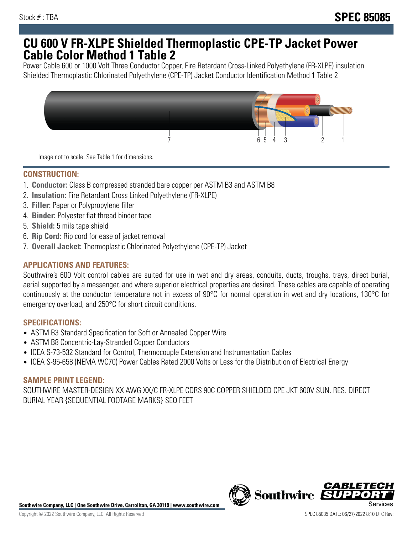## **CU 600 V FR-XLPE Shielded Thermoplastic CPE-TP Jacket Power Cable Color Method 1 Table 2**

Power Cable 600 or 1000 Volt Three Conductor Copper, Fire Retardant Cross-Linked Polyethylene (FR-XLPE) insulation Shielded Thermoplastic Chlorinated Polyethylene (CPE-TP) Jacket Conductor Identification Method 1 Table 2



Image not to scale. See Table 1 for dimensions.

## **CONSTRUCTION:**

- 1. **Conductor:** Class B compressed stranded bare copper per ASTM B3 and ASTM B8
- 2. **Insulation:** Fire Retardant Cross Linked Polyethylene (FR-XLPE)
- 3. **Filler:** Paper or Polypropylene filler
- 4. **Binder:** Polyester flat thread binder tape
- 5. **Shield:** 5 mils tape shield
- 6. **Rip Cord:** Rip cord for ease of jacket removal
- 7. **Overall Jacket:** Thermoplastic Chlorinated Polyethylene (CPE-TP) Jacket

### **APPLICATIONS AND FEATURES:**

Southwire's 600 Volt control cables are suited for use in wet and dry areas, conduits, ducts, troughs, trays, direct burial, aerial supported by a messenger, and where superior electrical properties are desired. These cables are capable of operating continuously at the conductor temperature not in excess of 90°C for normal operation in wet and dry locations, 130°C for emergency overload, and 250°C for short circuit conditions.

#### **SPECIFICATIONS:**

- ASTM B3 Standard Specification for Soft or Annealed Copper Wire
- ASTM B8 Concentric-Lay-Stranded Copper Conductors
- ICEA S-73-532 Standard for Control, Thermocouple Extension and Instrumentation Cables
- ICEA S-95-658 (NEMA WC70) Power Cables Rated 2000 Volts or Less for the Distribution of Electrical Energy

#### **SAMPLE PRINT LEGEND:**

SOUTHWIRE MASTER-DESIGN XX AWG XX/C FR-XLPE CDRS 90C COPPER SHIELDED CPE JKT 600V SUN. RES. DIRECT BURIAL YEAR {SEQUENTIAL FOOTAGE MARKS} SEQ FEET